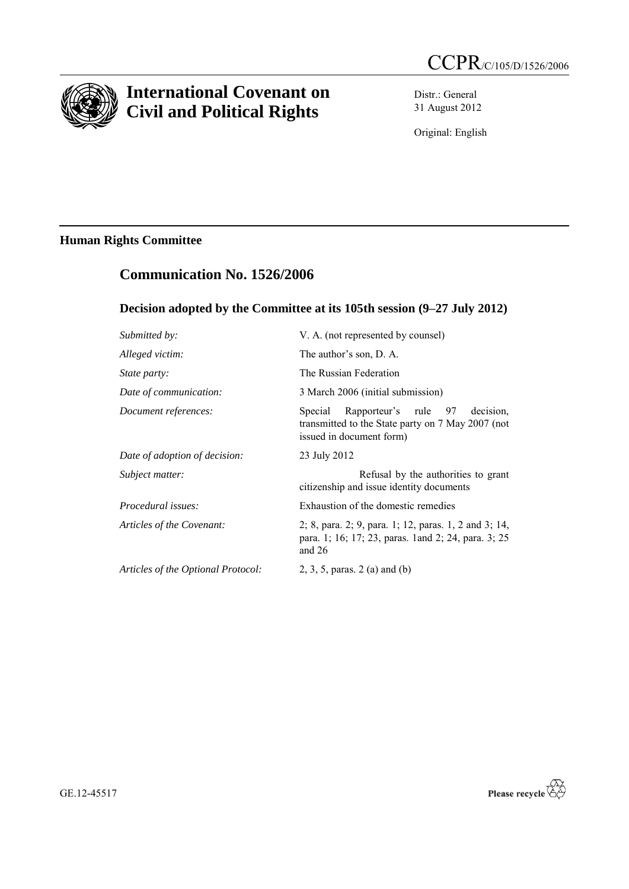

# **International Covenant on Civil and Political Rights**

Distr.: General 31 August 2012

Original: English

## **Human Rights Committee**

# **Communication No. 1526/2006**

## **Decision adopted by the Committee at its 105th session (9–27 July 2012)**

| Submitted by:                      | V. A. (not represented by counsel)                                                                                            |
|------------------------------------|-------------------------------------------------------------------------------------------------------------------------------|
| Alleged victim:                    | The author's son, D. A.                                                                                                       |
| <i>State party:</i>                | The Russian Federation                                                                                                        |
| Date of communication:             | 3 March 2006 (initial submission)                                                                                             |
| Document references:               | Rapporteur's rule 97<br>decision.<br>Special<br>transmitted to the State party on 7 May 2007 (not<br>issued in document form) |
| Date of adoption of decision:      | 23 July 2012                                                                                                                  |
| Subject matter:                    | Refusal by the authorities to grant<br>citizenship and issue identity documents                                               |
| <i>Procedural issues:</i>          | Exhaustion of the domestic remedies                                                                                           |
| Articles of the Covenant:          | 2; 8, para. 2; 9, para. 1; 12, paras. 1, 2 and 3; 14,<br>para. 1; 16; 17; 23, paras. 1 and 2; 24, para. 3; 25<br>and $26$     |
| Articles of the Optional Protocol: | 2, 3, 5, paras. $2$ (a) and (b)                                                                                               |



GE.12-45517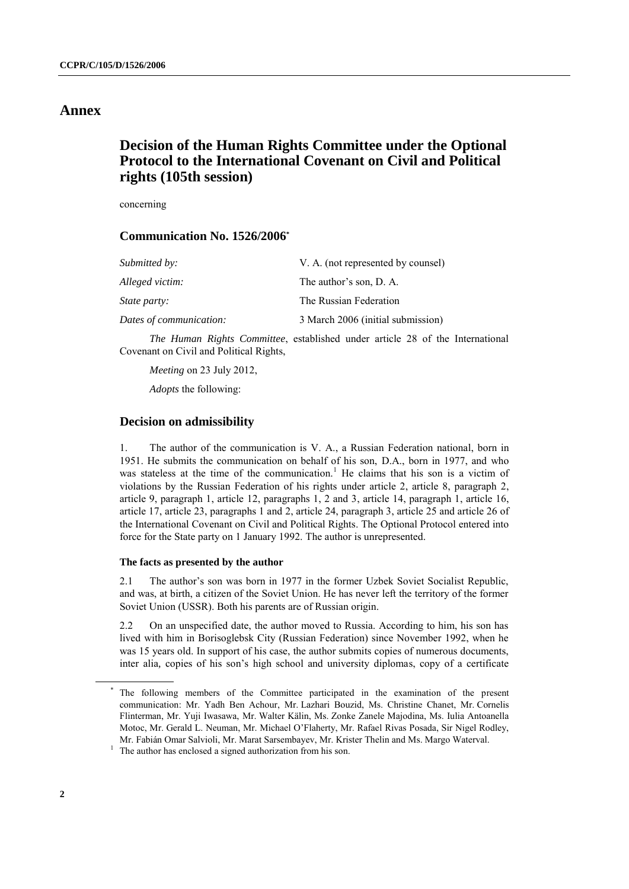### **Annex**

# **Decision of the Human Rights Committee under the Optional Protocol to the International Covenant on Civil and Political rights (105th session)**

concerning

### **Communication No. 1526/2006\***

| Submitted by:           | V. A. (not represented by counsel) |
|-------------------------|------------------------------------|
| Alleged victim:         | The author's son, D. A.            |
| <i>State party:</i>     | The Russian Federation             |
| Dates of communication: | 3 March 2006 (initial submission)  |

*The Human Rights Committee*, established under article 28 of the International Covenant on Civil and Political Rights,

*Meeting* on 23 July 2012,

*Adopts* the following:

### **Decision on admissibility**

1. The author of the communication is V. A., a Russian Federation national, born in 1951. He submits the communication on behalf of his son, D.A., born in 1977, and who was stateless at the time of the communication.<sup>1</sup> He claims that his son is a victim of violations by the Russian Federation of his rights under article 2, article 8, paragraph 2, article 9, paragraph 1, article 12, paragraphs 1, 2 and 3, article 14, paragraph 1, article 16, article 17, article 23, paragraphs 1 and 2, article 24, paragraph 3, article 25 and article 26 of the International Covenant on Civil and Political Rights. The Optional Protocol entered into force for the State party on 1 January 1992. The author is unrepresented.

#### **The facts as presented by the author**

2.1 The author's son was born in 1977 in the former Uzbek Soviet Socialist Republic, and was, at birth, a citizen of the Soviet Union. He has never left the territory of the former Soviet Union (USSR). Both his parents are of Russian origin.

2.2 On an unspecified date, the author moved to Russia. According to him, his son has lived with him in Borisoglebsk City (Russian Federation) since November 1992, when he was 15 years old. In support of his case, the author submits copies of numerous documents, inter alia*,* copies of his son's high school and university diplomas, copy of a certificate

The following members of the Committee participated in the examination of the present communication: Mr. Yadh Ben Achour, Mr. Lazhari Bouzid, Ms. Christine Chanet, Mr. Cornelis Flinterman, Mr. Yuji Iwasawa, Mr. Walter Kälin, Ms. Zonke Zanele Majodina, Ms. Iulia Antoanella Motoc, Mr. Gerald L. Neuman, Mr. Michael O'Flaherty, Mr. Rafael Rivas Posada, Sir Nigel Rodley, Mr. Fabián Omar Salvioli, Mr. Marat Sarsembayev, Mr. Krister Thelin and Ms. Margo Waterval.

<sup>&</sup>lt;sup>1</sup> The author has enclosed a signed authorization from his son.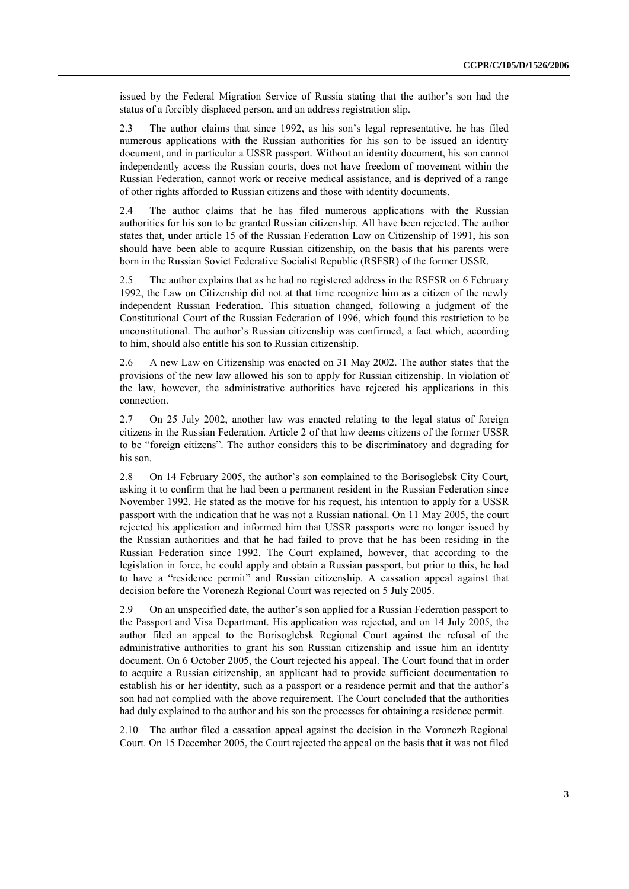issued by the Federal Migration Service of Russia stating that the author's son had the status of a forcibly displaced person, and an address registration slip.

2.3 The author claims that since 1992, as his son's legal representative, he has filed numerous applications with the Russian authorities for his son to be issued an identity document, and in particular a USSR passport. Without an identity document, his son cannot independently access the Russian courts, does not have freedom of movement within the Russian Federation, cannot work or receive medical assistance, and is deprived of a range of other rights afforded to Russian citizens and those with identity documents.

2.4 The author claims that he has filed numerous applications with the Russian authorities for his son to be granted Russian citizenship. All have been rejected. The author states that, under article 15 of the Russian Federation Law on Citizenship of 1991, his son should have been able to acquire Russian citizenship, on the basis that his parents were born in the Russian Soviet Federative Socialist Republic (RSFSR) of the former USSR.

2.5 The author explains that as he had no registered address in the RSFSR on 6 February 1992, the Law on Citizenship did not at that time recognize him as a citizen of the newly independent Russian Federation. This situation changed, following a judgment of the Constitutional Court of the Russian Federation of 1996, which found this restriction to be unconstitutional. The author's Russian citizenship was confirmed, a fact which, according to him, should also entitle his son to Russian citizenship.

2.6 A new Law on Citizenship was enacted on 31 May 2002. The author states that the provisions of the new law allowed his son to apply for Russian citizenship. In violation of the law, however, the administrative authorities have rejected his applications in this connection.

2.7 On 25 July 2002, another law was enacted relating to the legal status of foreign citizens in the Russian Federation. Article 2 of that law deems citizens of the former USSR to be "foreign citizens". The author considers this to be discriminatory and degrading for his son.

2.8 On 14 February 2005, the author's son complained to the Borisoglebsk City Court, asking it to confirm that he had been a permanent resident in the Russian Federation since November 1992. He stated as the motive for his request, his intention to apply for a USSR passport with the indication that he was not a Russian national. On 11 May 2005, the court rejected his application and informed him that USSR passports were no longer issued by the Russian authorities and that he had failed to prove that he has been residing in the Russian Federation since 1992. The Court explained, however, that according to the legislation in force, he could apply and obtain a Russian passport, but prior to this, he had to have a "residence permit" and Russian citizenship. A cassation appeal against that decision before the Voronezh Regional Court was rejected on 5 July 2005.

2.9 On an unspecified date, the author's son applied for a Russian Federation passport to the Passport and Visa Department. His application was rejected, and on 14 July 2005, the author filed an appeal to the Borisoglebsk Regional Court against the refusal of the administrative authorities to grant his son Russian citizenship and issue him an identity document. On 6 October 2005, the Court rejected his appeal. The Court found that in order to acquire a Russian citizenship, an applicant had to provide sufficient documentation to establish his or her identity, such as a passport or a residence permit and that the author's son had not complied with the above requirement. The Court concluded that the authorities had duly explained to the author and his son the processes for obtaining a residence permit.

2.10 The author filed a cassation appeal against the decision in the Voronezh Regional Court. On 15 December 2005, the Court rejected the appeal on the basis that it was not filed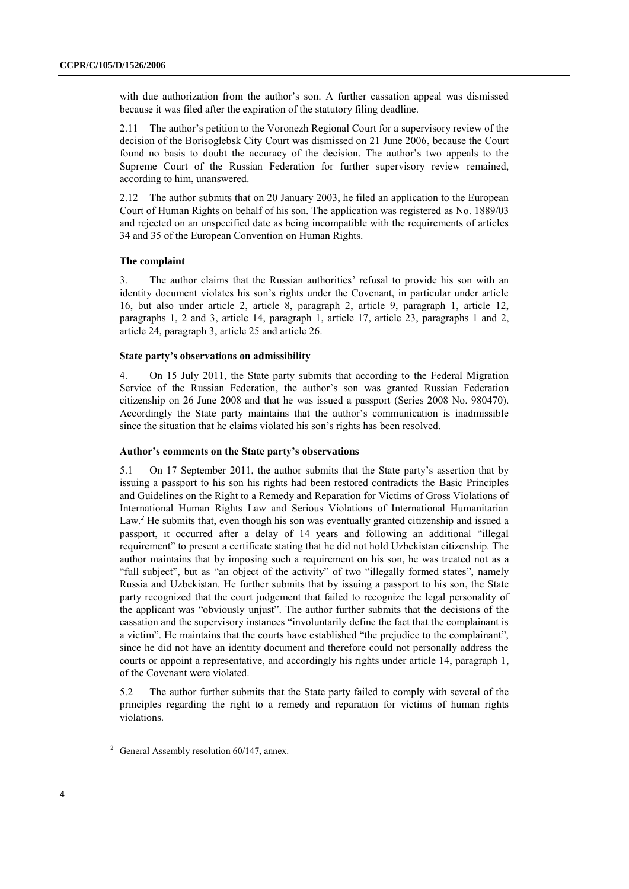with due authorization from the author's son. A further cassation appeal was dismissed because it was filed after the expiration of the statutory filing deadline.

2.11 The author's petition to the Voronezh Regional Court for a supervisory review of the decision of the Borisoglebsk City Court was dismissed on 21 June 2006, because the Court found no basis to doubt the accuracy of the decision. The author's two appeals to the Supreme Court of the Russian Federation for further supervisory review remained, according to him, unanswered.

2.12 The author submits that on 20 January 2003, he filed an application to the European Court of Human Rights on behalf of his son. The application was registered as No. 1889/03 and rejected on an unspecified date as being incompatible with the requirements of articles 34 and 35 of the European Convention on Human Rights.

#### **The complaint**

3. The author claims that the Russian authorities' refusal to provide his son with an identity document violates his son's rights under the Covenant, in particular under article 16, but also under article 2, article 8, paragraph 2, article 9, paragraph 1, article 12, paragraphs 1, 2 and 3, article 14, paragraph 1, article 17, article 23, paragraphs 1 and 2, article 24, paragraph 3, article 25 and article 26.

### **State party's observations on admissibility**

4. On 15 July 2011, the State party submits that according to the Federal Migration Service of the Russian Federation, the author's son was granted Russian Federation citizenship on 26 June 2008 and that he was issued a passport (Series 2008 No. 980470). Accordingly the State party maintains that the author's communication is inadmissible since the situation that he claims violated his son's rights has been resolved.

#### **Author's comments on the State party's observations**

5.1 On 17 September 2011, the author submits that the State party's assertion that by issuing a passport to his son his rights had been restored contradicts the Basic Principles and Guidelines on the Right to a Remedy and Reparation for Victims of Gross Violations of International Human Rights Law and Serious Violations of International Humanitarian Law*. <sup>2</sup>* He submits that, even though his son was eventually granted citizenship and issued a passport, it occurred after a delay of 14 years and following an additional "illegal requirement" to present a certificate stating that he did not hold Uzbekistan citizenship. The author maintains that by imposing such a requirement on his son, he was treated not as a "full subject", but as "an object of the activity" of two "illegally formed states", namely Russia and Uzbekistan. He further submits that by issuing a passport to his son, the State party recognized that the court judgement that failed to recognize the legal personality of the applicant was "obviously unjust". The author further submits that the decisions of the cassation and the supervisory instances "involuntarily define the fact that the complainant is a victim". He maintains that the courts have established "the prejudice to the complainant", since he did not have an identity document and therefore could not personally address the courts or appoint a representative, and accordingly his rights under article 14, paragraph 1, of the Covenant were violated.

5.2 The author further submits that the State party failed to comply with several of the principles regarding the right to a remedy and reparation for victims of human rights violations.

<sup>&</sup>lt;sup>2</sup> General Assembly resolution  $60/147$ , annex.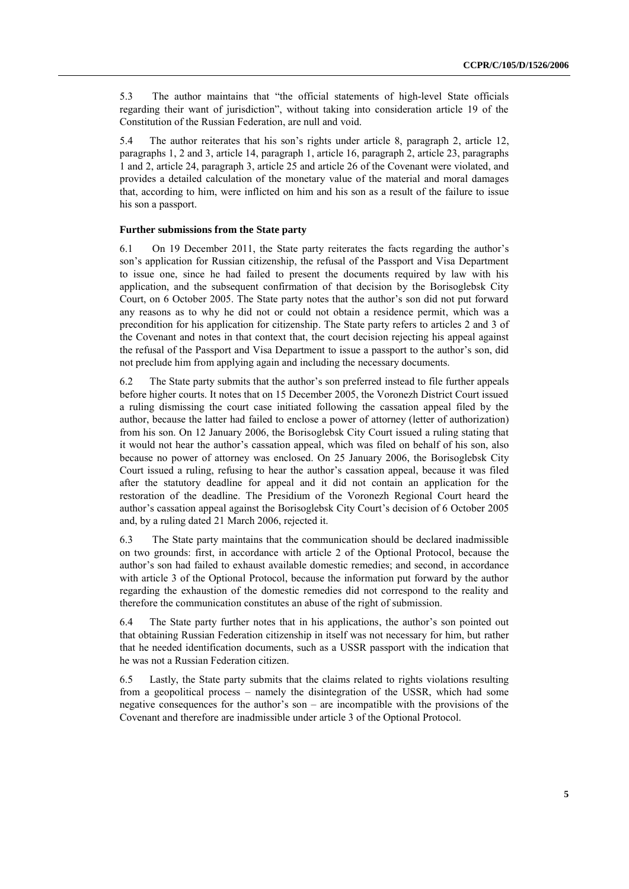5.3 The author maintains that "the official statements of high-level State officials regarding their want of jurisdiction", without taking into consideration article 19 of the Constitution of the Russian Federation, are null and void.

5.4 The author reiterates that his son's rights under article 8, paragraph 2, article 12, paragraphs 1, 2 and 3, article 14, paragraph 1, article 16, paragraph 2, article 23, paragraphs 1 and 2, article 24, paragraph 3, article 25 and article 26 of the Covenant were violated, and provides a detailed calculation of the monetary value of the material and moral damages that, according to him, were inflicted on him and his son as a result of the failure to issue his son a passport.

#### **Further submissions from the State party**

6.1 On 19 December 2011, the State party reiterates the facts regarding the author's son's application for Russian citizenship, the refusal of the Passport and Visa Department to issue one, since he had failed to present the documents required by law with his application, and the subsequent confirmation of that decision by the Borisoglebsk City Court, on 6 October 2005. The State party notes that the author's son did not put forward any reasons as to why he did not or could not obtain a residence permit, which was a precondition for his application for citizenship. The State party refers to articles 2 and 3 of the Covenant and notes in that context that, the court decision rejecting his appeal against the refusal of the Passport and Visa Department to issue a passport to the author's son, did not preclude him from applying again and including the necessary documents.

6.2 The State party submits that the author's son preferred instead to file further appeals before higher courts. It notes that on 15 December 2005, the Voronezh District Court issued a ruling dismissing the court case initiated following the cassation appeal filed by the author, because the latter had failed to enclose a power of attorney (letter of authorization) from his son. On 12 January 2006, the Borisoglebsk City Court issued a ruling stating that it would not hear the author's cassation appeal, which was filed on behalf of his son, also because no power of attorney was enclosed. On 25 January 2006, the Borisoglebsk City Court issued a ruling, refusing to hear the author's cassation appeal, because it was filed after the statutory deadline for appeal and it did not contain an application for the restoration of the deadline. The Presidium of the Voronezh Regional Court heard the author's cassation appeal against the Borisoglebsk City Court's decision of 6 October 2005 and, by a ruling dated 21 March 2006, rejected it.

6.3 The State party maintains that the communication should be declared inadmissible on two grounds: first, in accordance with article 2 of the Optional Protocol, because the author's son had failed to exhaust available domestic remedies; and second, in accordance with article 3 of the Optional Protocol, because the information put forward by the author regarding the exhaustion of the domestic remedies did not correspond to the reality and therefore the communication constitutes an abuse of the right of submission.

6.4 The State party further notes that in his applications, the author's son pointed out that obtaining Russian Federation citizenship in itself was not necessary for him, but rather that he needed identification documents, such as a USSR passport with the indication that he was not a Russian Federation citizen.

6.5 Lastly, the State party submits that the claims related to rights violations resulting from a geopolitical process – namely the disintegration of the USSR, which had some negative consequences for the author's son – are incompatible with the provisions of the Covenant and therefore are inadmissible under article 3 of the Optional Protocol.